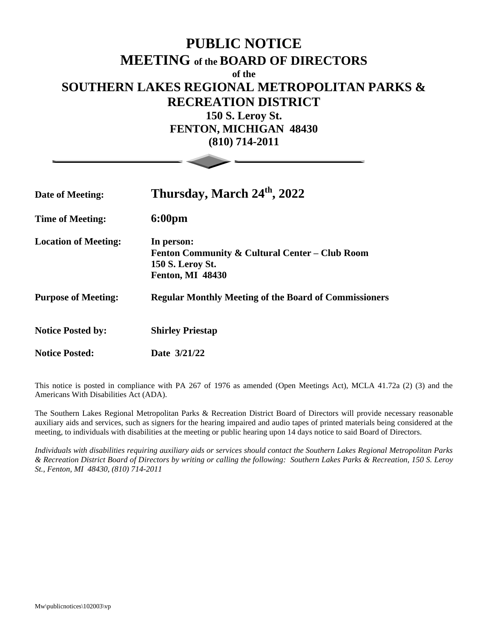## **PUBLIC NOTICE MEETING of the BOARD OF DIRECTORS of the SOUTHERN LAKES REGIONAL METROPOLITAN PARKS & RECREATION DISTRICT 150 S. Leroy St. FENTON, MICHIGAN 48430**

**(810) 714-2011**

| Date of Meeting:            | Thursday, March 24th, 2022                                                                                  |
|-----------------------------|-------------------------------------------------------------------------------------------------------------|
| <b>Time of Meeting:</b>     | 6:00pm                                                                                                      |
| <b>Location of Meeting:</b> | In person:<br>Fenton Community & Cultural Center – Club Room<br>150 S. Leroy St.<br><b>Fenton, MI 48430</b> |
| <b>Purpose of Meeting:</b>  | <b>Regular Monthly Meeting of the Board of Commissioners</b>                                                |
| <b>Notice Posted by:</b>    | <b>Shirley Priestap</b>                                                                                     |
| <b>Notice Posted:</b>       | Date 3/21/22                                                                                                |

This notice is posted in compliance with PA 267 of 1976 as amended (Open Meetings Act), MCLA 41.72a (2) (3) and the Americans With Disabilities Act (ADA).

The Southern Lakes Regional Metropolitan Parks & Recreation District Board of Directors will provide necessary reasonable auxiliary aids and services, such as signers for the hearing impaired and audio tapes of printed materials being considered at the meeting, to individuals with disabilities at the meeting or public hearing upon 14 days notice to said Board of Directors.

*Individuals with disabilities requiring auxiliary aids or services should contact the Southern Lakes Regional Metropolitan Parks & Recreation District Board of Directors by writing or calling the following: Southern Lakes Parks & Recreation, 150 S. Leroy St., Fenton, MI 48430, (810) 714-2011*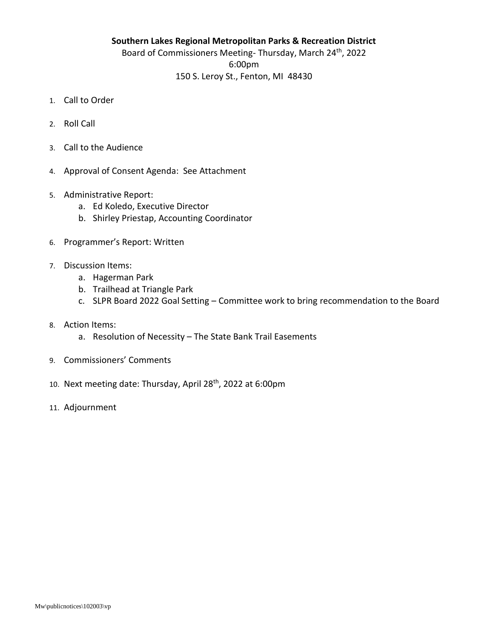## **Southern Lakes Regional Metropolitan Parks & Recreation District** Board of Commissioners Meeting- Thursday, March 24<sup>th</sup>, 2022 6:00pm 150 S. Leroy St., Fenton, MI 48430

- 1. Call to Order
- 2. Roll Call
- 3. Call to the Audience
- 4. Approval of Consent Agenda: See Attachment
- 5. Administrative Report:
	- a. Ed Koledo, Executive Director
	- b. Shirley Priestap, Accounting Coordinator
- 6. Programmer's Report: Written
- 7. Discussion Items:
	- a. Hagerman Park
	- b. Trailhead at Triangle Park
	- c. SLPR Board 2022 Goal Setting Committee work to bring recommendation to the Board
- 8. Action Items:
	- a. Resolution of Necessity The State Bank Trail Easements
- 9. Commissioners' Comments
- 10. Next meeting date: Thursday, April 28<sup>th</sup>, 2022 at 6:00pm
- 11. Adjournment